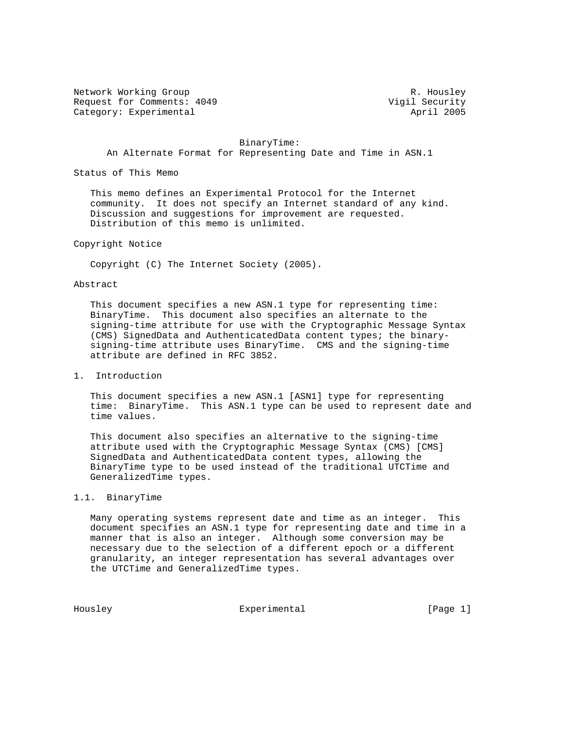Network Working Group Network Working Group Network R. Housley Request for Comments: 4049 Vigil Security Category: Experimental

 BinaryTime: An Alternate Format for Representing Date and Time in ASN.1

Status of This Memo

 This memo defines an Experimental Protocol for the Internet community. It does not specify an Internet standard of any kind. Discussion and suggestions for improvement are requested. Distribution of this memo is unlimited.

### Copyright Notice

Copyright (C) The Internet Society (2005).

#### Abstract

 This document specifies a new ASN.1 type for representing time: BinaryTime. This document also specifies an alternate to the signing-time attribute for use with the Cryptographic Message Syntax (CMS) SignedData and AuthenticatedData content types; the binary signing-time attribute uses BinaryTime. CMS and the signing-time attribute are defined in RFC 3852.

# 1. Introduction

 This document specifies a new ASN.1 [ASN1] type for representing time: BinaryTime. This ASN.1 type can be used to represent date and time values.

 This document also specifies an alternative to the signing-time attribute used with the Cryptographic Message Syntax (CMS) [CMS] SignedData and AuthenticatedData content types, allowing the BinaryTime type to be used instead of the traditional UTCTime and GeneralizedTime types.

### 1.1. BinaryTime

 Many operating systems represent date and time as an integer. This document specifies an ASN.1 type for representing date and time in a manner that is also an integer. Although some conversion may be necessary due to the selection of a different epoch or a different granularity, an integer representation has several advantages over the UTCTime and GeneralizedTime types.

Housley **Experimental** Experimental [Page 1]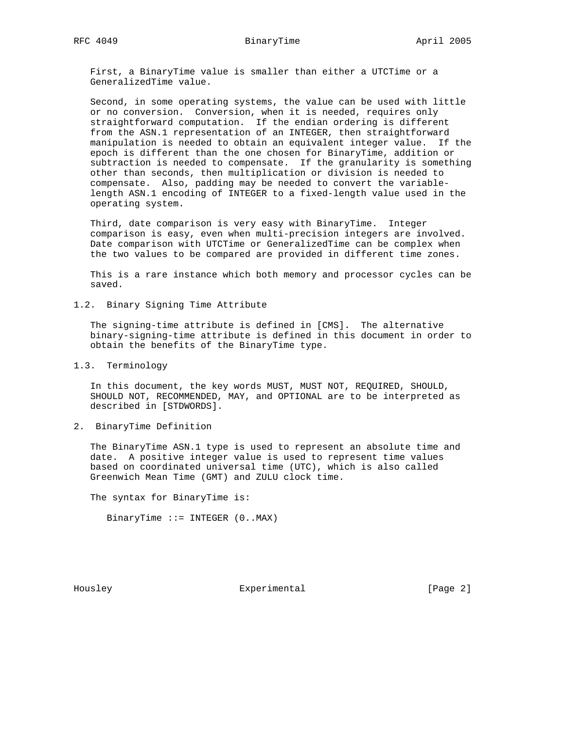First, a BinaryTime value is smaller than either a UTCTime or a GeneralizedTime value.

 Second, in some operating systems, the value can be used with little or no conversion. Conversion, when it is needed, requires only straightforward computation. If the endian ordering is different from the ASN.1 representation of an INTEGER, then straightforward manipulation is needed to obtain an equivalent integer value. If the epoch is different than the one chosen for BinaryTime, addition or subtraction is needed to compensate. If the granularity is something other than seconds, then multiplication or division is needed to compensate. Also, padding may be needed to convert the variable length ASN.1 encoding of INTEGER to a fixed-length value used in the operating system.

 Third, date comparison is very easy with BinaryTime. Integer comparison is easy, even when multi-precision integers are involved. Date comparison with UTCTime or GeneralizedTime can be complex when the two values to be compared are provided in different time zones.

 This is a rare instance which both memory and processor cycles can be saved.

1.2. Binary Signing Time Attribute

 The signing-time attribute is defined in [CMS]. The alternative binary-signing-time attribute is defined in this document in order to obtain the benefits of the BinaryTime type.

1.3. Terminology

 In this document, the key words MUST, MUST NOT, REQUIRED, SHOULD, SHOULD NOT, RECOMMENDED, MAY, and OPTIONAL are to be interpreted as described in [STDWORDS].

2. BinaryTime Definition

 The BinaryTime ASN.1 type is used to represent an absolute time and date. A positive integer value is used to represent time values based on coordinated universal time (UTC), which is also called Greenwich Mean Time (GMT) and ZULU clock time.

The syntax for BinaryTime is:

BinaryTime  $::=$  INTEGER  $(0..MAX)$ 

Housley **Experimental** Experimental [Page 2]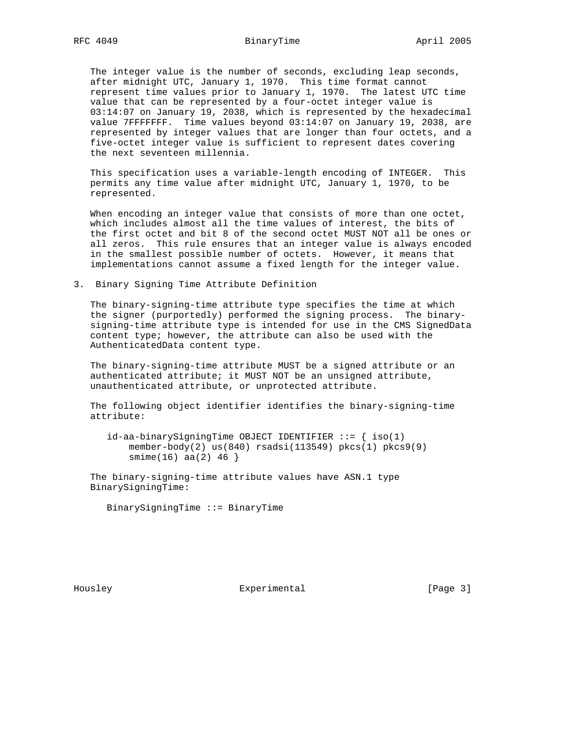The integer value is the number of seconds, excluding leap seconds, after midnight UTC, January 1, 1970. This time format cannot represent time values prior to January 1, 1970. The latest UTC time value that can be represented by a four-octet integer value is 03:14:07 on January 19, 2038, which is represented by the hexadecimal value 7FFFFFFF. Time values beyond 03:14:07 on January 19, 2038, are represented by integer values that are longer than four octets, and a five-octet integer value is sufficient to represent dates covering the next seventeen millennia.

 This specification uses a variable-length encoding of INTEGER. This permits any time value after midnight UTC, January 1, 1970, to be represented.

 When encoding an integer value that consists of more than one octet, which includes almost all the time values of interest, the bits of the first octet and bit 8 of the second octet MUST NOT all be ones or all zeros. This rule ensures that an integer value is always encoded in the smallest possible number of octets. However, it means that implementations cannot assume a fixed length for the integer value.

3. Binary Signing Time Attribute Definition

 The binary-signing-time attribute type specifies the time at which the signer (purportedly) performed the signing process. The binary signing-time attribute type is intended for use in the CMS SignedData content type; however, the attribute can also be used with the AuthenticatedData content type.

 The binary-signing-time attribute MUST be a signed attribute or an authenticated attribute; it MUST NOT be an unsigned attribute, unauthenticated attribute, or unprotected attribute.

 The following object identifier identifies the binary-signing-time attribute:

 $id$ -aa-binarySigningTime OBJECT IDENTIFIER ::= { iso(1) member-body(2)  $us(840)$  rsadsi(113549) pkcs(1) pkcs9(9)  $smin(e(16)$  aa $(2)$  46 }

 The binary-signing-time attribute values have ASN.1 type BinarySigningTime:

BinarySigningTime ::= BinaryTime

Housley **Experimental** [Page 3]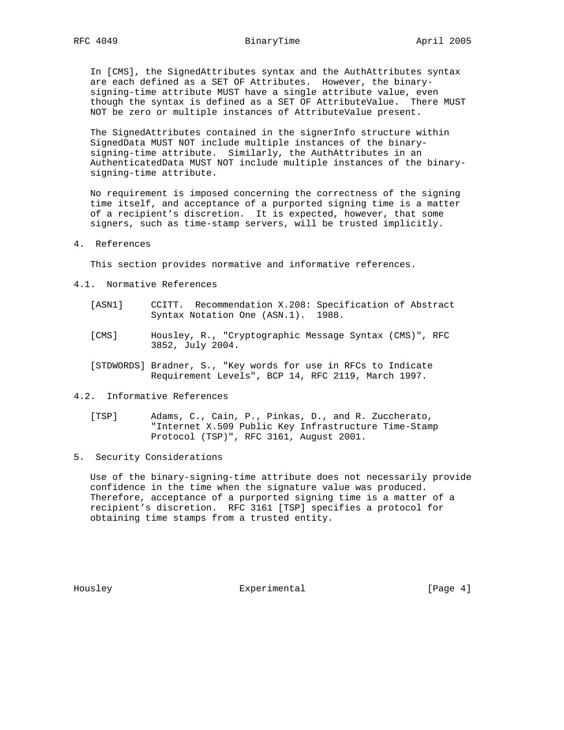In [CMS], the SignedAttributes syntax and the AuthAttributes syntax are each defined as a SET OF Attributes. However, the binary signing-time attribute MUST have a single attribute value, even though the syntax is defined as a SET OF AttributeValue. There MUST NOT be zero or multiple instances of AttributeValue present.

 The SignedAttributes contained in the signerInfo structure within SignedData MUST NOT include multiple instances of the binary signing-time attribute. Similarly, the AuthAttributes in an AuthenticatedData MUST NOT include multiple instances of the binary signing-time attribute.

 No requirement is imposed concerning the correctness of the signing time itself, and acceptance of a purported signing time is a matter of a recipient's discretion. It is expected, however, that some signers, such as time-stamp servers, will be trusted implicitly.

### 4. References

This section provides normative and informative references.

- 4.1. Normative References
	- [ASN1] CCITT. Recommendation X.208: Specification of Abstract Syntax Notation One (ASN.1). 1988.
	- [CMS] Housley, R., "Cryptographic Message Syntax (CMS)", RFC 3852, July 2004.
	- [STDWORDS] Bradner, S., "Key words for use in RFCs to Indicate Requirement Levels", BCP 14, RFC 2119, March 1997.
- 4.2. Informative References
	- [TSP] Adams, C., Cain, P., Pinkas, D., and R. Zuccherato, "Internet X.509 Public Key Infrastructure Time-Stamp Protocol (TSP)", RFC 3161, August 2001.
- 5. Security Considerations

 Use of the binary-signing-time attribute does not necessarily provide confidence in the time when the signature value was produced. Therefore, acceptance of a purported signing time is a matter of a recipient's discretion. RFC 3161 [TSP] specifies a protocol for obtaining time stamps from a trusted entity.

Housley **Experimental** Experimental [Page 4]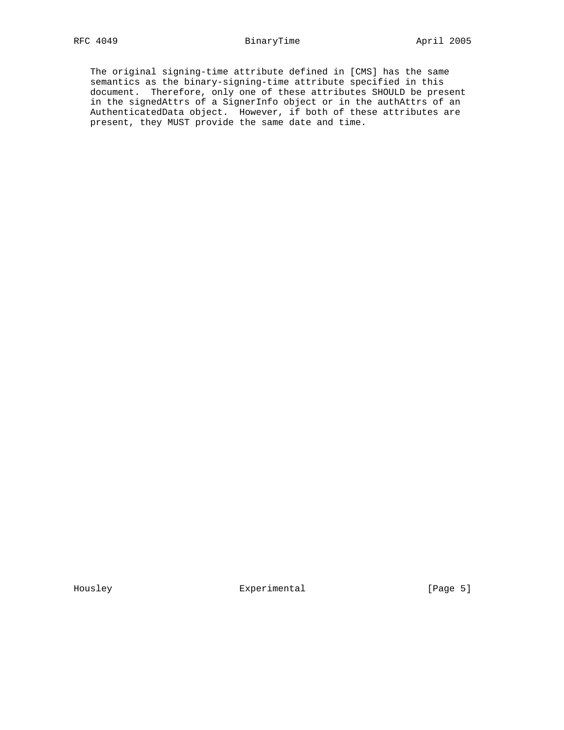## RFC 4049 **BinaryTime BinaryTime April 2005**

 The original signing-time attribute defined in [CMS] has the same semantics as the binary-signing-time attribute specified in this document. Therefore, only one of these attributes SHOULD be present in the signedAttrs of a SignerInfo object or in the authAttrs of an AuthenticatedData object. However, if both of these attributes are present, they MUST provide the same date and time.

Housley **Experimental** Experimental [Page 5]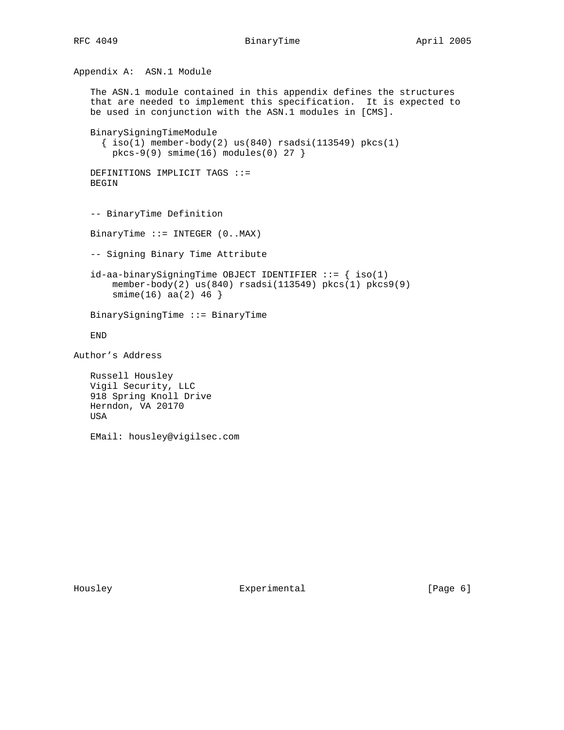```
Appendix A: ASN.1 Module
    The ASN.1 module contained in this appendix defines the structures
    that are needed to implement this specification. It is expected to
   be used in conjunction with the ASN.1 modules in [CMS].
    BinarySigningTimeModule
    \{ iso(1) member-body(2) us(840) rsadsi(113549) pkcs(1)pkcs-9(9) smime(16) modules(0) 27 }
   DEFINITIONS IMPLICIT TAGS ::=
   BEGIN
    -- BinaryTime Definition
   BinaryTime ::= INTEGER (0..MAX)
    -- Signing Binary Time Attribute
   id-aa-binarySigningTime OBJECT IDENTIFIER ::= { iso(1)
        member-body(2) us(840) rsadsi(113549) pkcs(1) pkcs9(9)
        smime(16) aa(2) 46 }
    BinarySigningTime ::= BinaryTime
    END
Author's Address
   Russell Housley
   Vigil Security, LLC
    918 Spring Knoll Drive
   Herndon, VA 20170
   USA
   EMail: housley@vigilsec.com
```
Housley **Experimental** Experimental [Page 6]